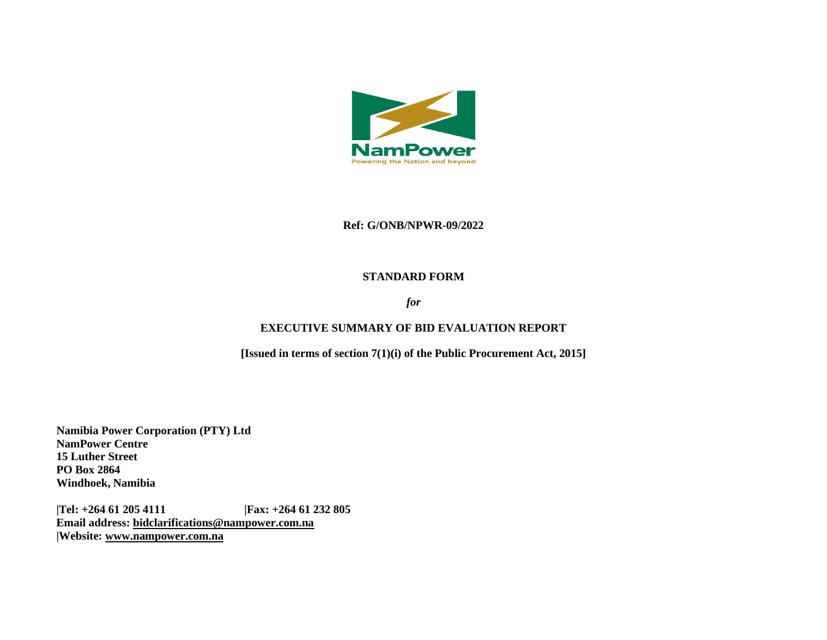

#### **Ref: G/ONB/NPWR-09/2022**

#### **STANDARD FORM**

### *for*

### **EXECUTIVE SUMMARY OF BID EVALUATION REPORT**

**[Issued in terms of section 7(1)(i) of the Public Procurement Act, 2015]** 

**Namibia Power Corporation (PTY) Ltd NamPower Centre 15 Luther Street PO Box 2864 Windhoek, Namibia**

**|Tel: +264 61 205 4111 |Fax: +264 61 232 805 Email address: [bidclarifications@nampower.com.na](mailto:bidclarifications@nampower.com.na) |Website: [www.n](http://www./)ampower.com.na**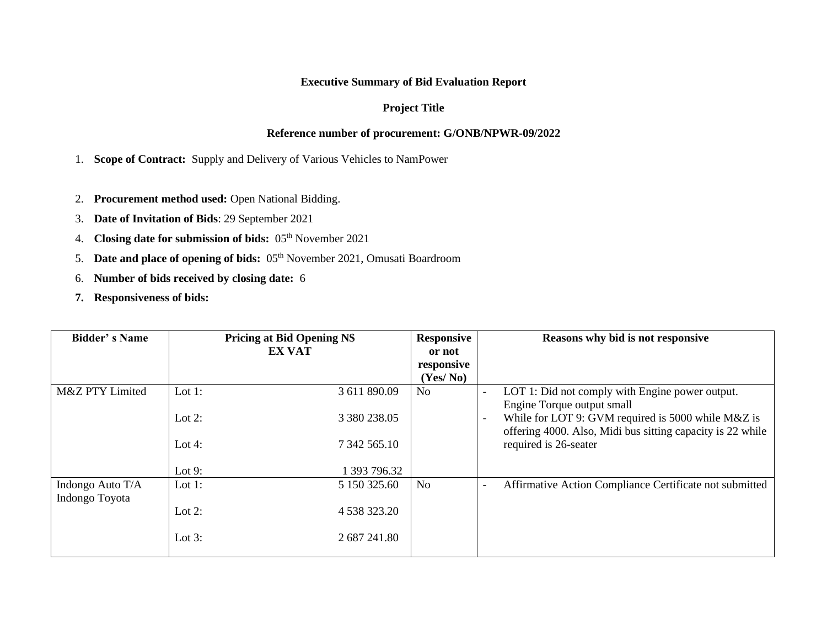# **Executive Summary of Bid Evaluation Report**

# **Project Title**

# **Reference number of procurement: G/ONB/NPWR-09/2022**

1. **Scope of Contract:** Supply and Delivery of Various Vehicles to NamPower

- 2. **Procurement method used:** Open National Bidding.
- 3. **Date of Invitation of Bids**: 29 September 2021
- 4. **Closing date for submission of bids:** 05th November 2021
- 5. **Date and place of opening of bids:** 05<sup>th</sup> November 2021, Omusati Boardroom
- 6. **Number of bids received by closing date:** 6
- **7. Responsiveness of bids:**

| <b>Bidder's Name</b> | <b>Pricing at Bid Opening N\$</b> |               | <b>Responsive</b> | Reasons why bid is not responsive |                                                            |  |  |
|----------------------|-----------------------------------|---------------|-------------------|-----------------------------------|------------------------------------------------------------|--|--|
|                      |                                   | <b>EX VAT</b> | or not            |                                   |                                                            |  |  |
|                      |                                   |               | responsive        |                                   |                                                            |  |  |
|                      |                                   |               | (Yes/No)          |                                   |                                                            |  |  |
| M&Z PTY Limited      | Lot $1$ :                         | 3 611 890.09  | N <sub>0</sub>    | $\overline{\phantom{a}}$          | LOT 1: Did not comply with Engine power output.            |  |  |
|                      |                                   |               |                   |                                   | Engine Torque output small                                 |  |  |
|                      | Lot $2$ :                         | 3 380 238.05  |                   |                                   | While for LOT 9: GVM required is 5000 while M&Z is         |  |  |
|                      |                                   |               |                   |                                   | offering 4000. Also, Midi bus sitting capacity is 22 while |  |  |
|                      | Lot 4:                            | 7 342 565.10  |                   |                                   | required is 26-seater                                      |  |  |
|                      |                                   |               |                   |                                   |                                                            |  |  |
|                      | Lot $9:$                          | 1 393 796.32  |                   |                                   |                                                            |  |  |
| Indongo Auto T/A     | Lot 1:                            | 5 150 325.60  | N <sub>o</sub>    |                                   | Affirmative Action Compliance Certificate not submitted    |  |  |
| Indongo Toyota       |                                   |               |                   |                                   |                                                            |  |  |
|                      | Lot $2$ :                         | 4 538 323.20  |                   |                                   |                                                            |  |  |
|                      |                                   |               |                   |                                   |                                                            |  |  |
|                      | Lot $3$ :                         | 2 687 241.80  |                   |                                   |                                                            |  |  |
|                      |                                   |               |                   |                                   |                                                            |  |  |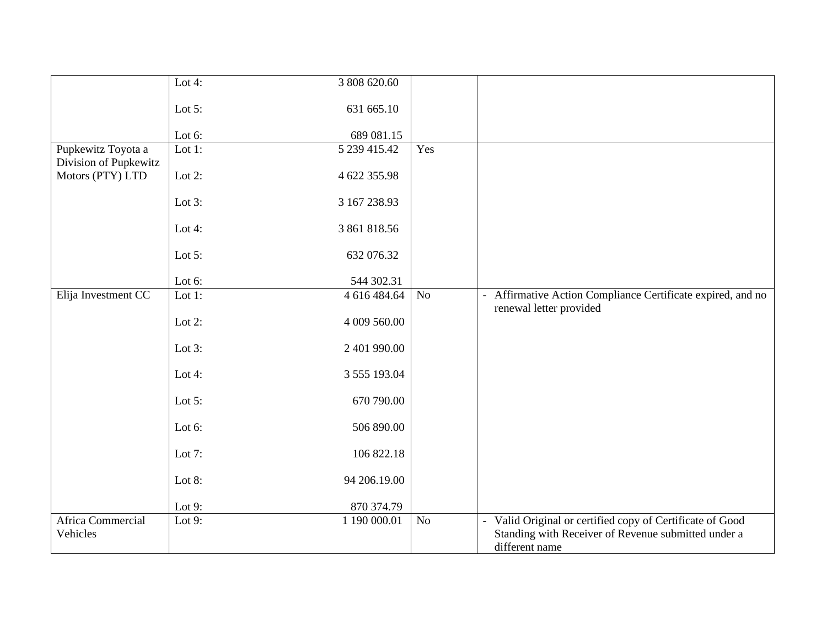|                       | Lot $4:$  | 3 808 620.60 |     |                                                                                       |
|-----------------------|-----------|--------------|-----|---------------------------------------------------------------------------------------|
|                       |           |              |     |                                                                                       |
|                       | Lot $5$ : | 631 665.10   |     |                                                                                       |
|                       |           |              |     |                                                                                       |
|                       | Lot 6:    | 689 081.15   |     |                                                                                       |
| Pupkewitz Toyota a    | Lot $1$ : | 5 239 415.42 | Yes |                                                                                       |
| Division of Pupkewitz |           |              |     |                                                                                       |
| Motors (PTY) LTD      | Lot $2$ : | 4 622 355.98 |     |                                                                                       |
|                       |           |              |     |                                                                                       |
|                       | Lot $3$ : | 3 167 238.93 |     |                                                                                       |
|                       |           |              |     |                                                                                       |
|                       | Lot 4:    | 3 861 818.56 |     |                                                                                       |
|                       |           |              |     |                                                                                       |
|                       | Lot $5$ : | 632 076.32   |     |                                                                                       |
|                       |           |              |     |                                                                                       |
|                       | Lot 6:    | 544 302.31   |     |                                                                                       |
| Elija Investment CC   | Lot $1$ : | 4 616 484.64 | No  | Affirmative Action Compliance Certificate expired, and no<br>$\overline{\phantom{0}}$ |
|                       |           |              |     | renewal letter provided                                                               |
|                       | Lot $2$ : | 4 009 560.00 |     |                                                                                       |
|                       |           |              |     |                                                                                       |
|                       | Lot $3$ : | 2 401 990.00 |     |                                                                                       |
|                       |           |              |     |                                                                                       |
|                       | Lot 4:    | 3 555 193.04 |     |                                                                                       |
|                       |           |              |     |                                                                                       |
|                       | Lot $5$ : | 670 790.00   |     |                                                                                       |
|                       |           |              |     |                                                                                       |
|                       | Lot 6:    | 506 890.00   |     |                                                                                       |
|                       |           |              |     |                                                                                       |
|                       | Lot 7:    | 106 822.18   |     |                                                                                       |
|                       | Lot $8:$  | 94 206.19.00 |     |                                                                                       |
|                       |           |              |     |                                                                                       |
|                       | Lot $9:$  | 870 374.79   |     |                                                                                       |
| Africa Commercial     | Lot $9:$  | 1 190 000.01 | No  | - Valid Original or certified copy of Certificate of Good                             |
| Vehicles              |           |              |     | Standing with Receiver of Revenue submitted under a                                   |
|                       |           |              |     | different name                                                                        |
|                       |           |              |     |                                                                                       |